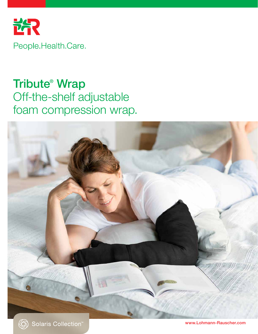

# Tribute® Wrap Off-the-shelf adjustable foam compression wrap.



www.Lohmann-Rauscher.com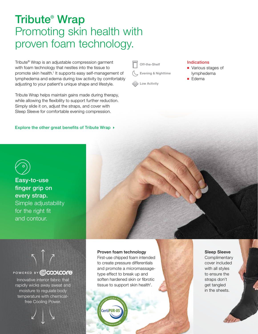## Tribute® Wrap Promoting skin health with proven foam technology.

Tribute® Wrap is an adjustable compression garment with foam technology that nestles into the tissue to promote skin health.<sup>1</sup> It supports easy self-management of lymphedema and edema during low activity by comfortably adjusting to your patient's unique shape and lifestyle.

Tribute Wrap helps maintain gains made during therapy, while allowing the flexibility to support further reduction. Simply slide it on, adjust the straps, and cover with Sleep Sleeve for comfortable evening compression.

Explore the other great benefits of Tribute Wrap  $\rightarrow$ 

Off-the-Shelf

Evening & Nighttime



### Indications

- Various stages of lymphedema
- Edema



Easy-to-use finger grip on every strap. Simple adjustability for the right fit and contour.

 $\bigwedge \bigwedge$ 

## POWERED BY **COODLCOFE**

Innovative interior fabric that rapidly wicks away sweat and moisture to regulate body temperature with chemicalfree Cooling Power.

## Proven foam technology

First-use chipped foam intended to create pressure differentials and promote a micromassagetype effect to break up and soften hardened skin or fibrotic tissue to support skin health<sup>1</sup>.



## Sleep Sleeve

**Complimentary** cover included with all styles to ensure the straps don't get tangled in the sheets.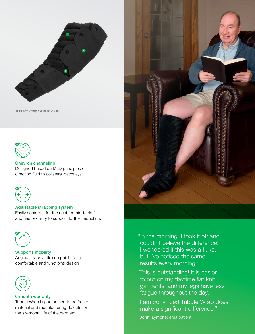

Tribute® Wrap Wrist to Axilla



## Chevron channeling Designed based on MLD principles of directing fluid to collateral pathways



### Adjustable strapping system

Easily conforms for the right, comfortable fit, and has flexibility to support further reduction.



Supports mobility Angled straps at flexion points for a comfortable and functional design



#### 6-month warranty

Tribute Wrap is guaranteed to be free of material and manufacturing defects for the six-month life of the garment.



"In the morning, I took it off and couldn't believe the difference! I wondered if this was a fluke, but I've noticed the same results every morning!

This is outstanding! It is easier to put on my daytime flat knit garments, and my legs have less fatigue throughout the day.

I am convinced Tribute Wrap does make a significant difference!"

John, Lymphedema patient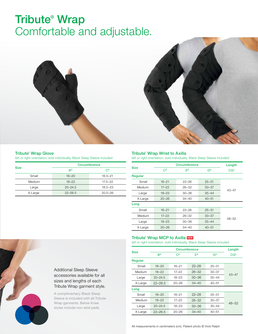# Tribute® Wrap Comfortable and adjustable.





#### Tribute® Wrap Glove

left or right orientation, sold individually, Black Sleep Sleeve included

|             | <b>Circumference</b> |             |  |  |
|-------------|----------------------|-------------|--|--|
| <b>Size</b> | B <sup>c</sup>       | $C_{\rm c}$ |  |  |
| Small       | $16 - 20$            | $16.5 - 21$ |  |  |
| Medium      | $18 - 22$            | $17.5 - 22$ |  |  |
| Large       | $20 - 24.5$          | $18.5 - 23$ |  |  |
| X-Large     | $22 - 26.5$          | $20.5 - 26$ |  |  |

#### Tribute® Wrap Wrist to Axilla

left or right orientation, sold individually, Black Sleep Sleeve included

|             | <b>Circumference</b> | Length    |           |                 |  |  |
|-------------|----------------------|-----------|-----------|-----------------|--|--|
| <b>Size</b> | $C_{\rm c}$          | Fc        | $G^c$     | CG <sup>L</sup> |  |  |
| Regular     |                      |           |           |                 |  |  |
| Small       | $16 - 21$            | $22 - 28$ | $25 - 31$ | $43 - 47$       |  |  |
| Medium      | $17 - 22$            | $26 - 32$ | $30 - 37$ |                 |  |  |
| Large       | $18 - 23$            | $30 - 36$ | $35 - 44$ |                 |  |  |
| X-Large     | $20 - 26$            | $34 - 40$ | $40 - 51$ |                 |  |  |
| Long        |                      |           |           |                 |  |  |
| Small       | $16 - 21$            | $22 - 28$ | $25 - 31$ |                 |  |  |
| Medium      | $17 - 22$            | $26 - 32$ | $30 - 37$ | $48 - 52$       |  |  |
| Large       | $18 - 23$            | $30 - 36$ | $35 - 44$ |                 |  |  |
| X-Large     | $20 - 26$            | $34 - 40$ | $40 - 51$ |                 |  |  |

#### Tribute<sup>®</sup> Wrap MCP to Axilla NEW

left or right orientation, sold individually, Black Sleep Sleeve included

|             |                | Length      |           |                |                 |
|-------------|----------------|-------------|-----------|----------------|-----------------|
| <b>Size</b> | B <sup>c</sup> | $C_{\rm c}$ | Fc        | G <sup>c</sup> | CG <sup>L</sup> |
| Regular     |                |             |           |                |                 |
| Small       | $16 - 20$      | $16 - 21$   | $22 - 28$ | $25 - 31$      |                 |
| Medium      | $18 - 22$      | 17–22       | $26 - 32$ | $30 - 37$      |                 |
| Large       | $20 - 24.5$    | $18 - 23$   | $30 - 36$ | $35 - 44$      | $43 - 47$       |
| X-Large     | $22 - 26.5$    | $20 - 26$   | $34 - 40$ | $40 - 51$      |                 |
| Long        |                |             |           |                |                 |
| Small       | $16 - 20$      | $16 - 21$   | $22 - 28$ | $25 - 31$      |                 |
| Medium      | $18 - 22$      | $17 - 22$   | $26 - 32$ | $30 - 37$      |                 |
| Large       | $20 - 24.5$    | $18 - 23$   | $30 - 36$ | $35 - 44$      | $48 - 52$       |
| X-Large     | $22 - 26.5$    | $20 - 26$   | $34 - 40$ | $40 - 51$      |                 |



A complimentary Black Sleep Sleeve is included with all Tribute Wrap garments. Below Knee styles include non-skid pads.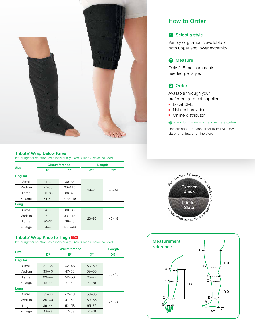

#### Tribute® Wrap Below Knee

left or right orientation, sold individually, Black Sleep Sleeve included

|             | <b>Circumference</b> |             | Length     |                       |  |
|-------------|----------------------|-------------|------------|-----------------------|--|
| <b>Size</b> | B <sup>c</sup>       | $C_{\rm c}$ | <b>AYL</b> | <b>YD<sup>L</sup></b> |  |
| Regular     |                      |             |            |                       |  |
| Small       | $24 - 30$            | $30 - 36$   | $19 - 22$  | $40 - 44$             |  |
| Medium      | $27 - 33$            | $33 - 41.5$ |            |                       |  |
| Large       | $30 - 36$            | $36 - 45$   |            |                       |  |
| X-Large     | $34 - 40$            | $40.5 - 49$ |            |                       |  |
| Long        |                      |             |            |                       |  |
| Small       | $24 - 30$            | $30 - 36$   |            | $45 - 49$             |  |
| Medium      | $27 - 33$            | $33 - 41.5$ |            |                       |  |
| Large       | $30 - 36$            | $36 - 45$   | $23 - 26$  |                       |  |
| X-Large     | $34 - 40$            | $40.5 - 49$ |            |                       |  |

#### Tribute<sup>®</sup> Wrap Knee to Thigh NEW

left or right orientation, sold individually, Black Sleep Sleeve included

|             | <b>Circumference</b> |           |           | Length          |  |
|-------------|----------------------|-----------|-----------|-----------------|--|
| <b>Size</b> | D <sub>c</sub>       | Fc        | $G^c$     | DG <sup>L</sup> |  |
| Regular     |                      |           |           |                 |  |
| Small       | $31 - 36$            | $42 - 48$ | $53 - 60$ | $35 - 40$       |  |
| Medium      | $35 - 40$            | $47 - 53$ | $59 - 66$ |                 |  |
| Large       | $39 - 44$            | $52 - 58$ | 65-72     |                 |  |
| X-Large     | $43 - 48$            | 57-63     | $71 - 78$ |                 |  |
| Long        |                      |           |           |                 |  |
| Small       | $31 - 36$            | $42 - 48$ | $53 - 60$ | $40 - 45$       |  |
| Medium      | $35 - 40$            | $47 - 53$ | 59-66     |                 |  |
| Large       | $39 - 44$            | $52 - 58$ | $65 - 72$ |                 |  |
| X-Large     | $43 - 48$            | 57-63     | $71 - 78$ |                 |  |

## How to Order

## **1** Select a style

Variety of garments available for both upper and lower extremity.

## 2 Measure

Only 2–5 measurements needed per style.

## **3** Order

Available through your preferred garment supplier:

- Local DME
- National provider
- Online distributor

www.lohmann-rauscher.us/where-to-buy

Dealers can purchase direct from L&R USA via phone, fax, or online store.